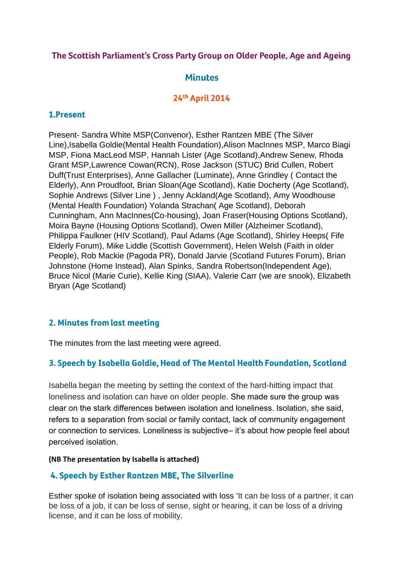### The Scottish Parliament's Cross Party Group on Older People, Age and Ageing

# **Minutes**

## 24th April 2014

### 1.Present

Present- Sandra White MSP(Convenor), Esther Rantzen MBE (The Silver Line),Isabella Goldie(Mental Health Foundation),Alison MacInnes MSP, Marco Biagi MSP, Fiona MacLeod MSP, Hannah Lister (Age Scotland),Andrew Senew, Rhoda Grant MSP,Lawrence Cowan(RCN), Rose Jackson (STUC) Brid Cullen, Robert Duff(Trust Enterprises), Anne Gallacher (Luminate), Anne Grindley ( Contact the Elderly), Ann Proudfoot, Brian Sloan(Age Scotland), Katie Docherty (Age Scotland), Sophie Andrews (Silver Line ) , Jenny Ackland(Age Scotland), Amy Woodhouse (Mental Health Foundation) Yolanda Strachan( Age Scotland), Deborah Cunningham, Ann MacInnes(Co-housing), Joan Fraser(Housing Options Scotland), Moira Bayne (Housing Options Scotland), Owen Miller (Alzheimer Scotland), Philippa Faulkner (HIV Scotland), Paul Adams (Age Scotland), Shirley Heeps( Fife Elderly Forum), Mike Liddle (Scottish Government), Helen Welsh (Faith in older People), Rob Mackie (Pagoda PR), Donald Jarvie (Scotland Futures Forum), Brian Johnstone (Home Instead), Alan Spinks, Sandra Robertson(Independent Age), Bruce Nicol (Marie Curie), Kellie King (SIAA), Valerie Carr (we are snook), Elizabeth Bryan (Age Scotland)

## 2. Minutes from last meeting

The minutes from the last meeting were agreed.

## 3. Speech by Isabella Goldie, Head of The Mental Health Foundation, Scotland

Isabella began the meeting by setting the context of the hard-hitting impact that loneliness and isolation can have on older people. She made sure the group was clear on the stark differences between isolation and loneliness. Isolation, she said, refers to a separation from social or family contact, lack of community engagement or connection to services. Loneliness is subjective– it's about how people feel about perceived isolation.

#### **(NB The presentation by Isabella is attached)**

### 4. Speech by Esther Rantzen MBE, The Silverline

Esther spoke of isolation being associated with loss 'It can be loss of a partner, it can be loss of a job, it can be loss of sense, sight or hearing, it can be loss of a driving license, and it can be loss of mobility.